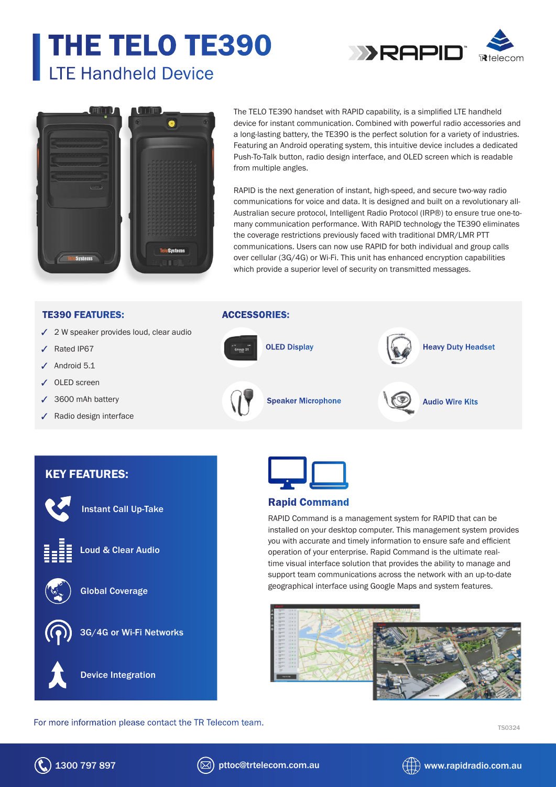# THE TELO TE390 LTE Handheld Device



Ô

The TELO TE390 handset with RAPID capability, is a simplified LTE handheld device for instant communication. Combined with powerful radio accessories and a long-lasting battery, the TE390 is the perfect solution for a variety of industries. Featuring an Android operating system, this intuitive device includes a dedicated Push-To-Talk button, radio design interface, and OLED screen which is readable from multiple angles.

RAPID is the next generation of instant, high-speed, and secure two-way radio communications for voice and data. It is designed and built on a revolutionary all-Australian secure protocol, Intelligent Radio Protocol (IRP®) to ensure true one-tomany communication performance. With RAPID technology the TE390 eliminates the coverage restrictions previously faced with traditional DMR/LMR PTT communications. Users can now use RAPID for both individual and group calls over cellular (3G/4G) or Wi-Fi. This unit has enhanced encryption capabilities which provide a superior level of security on transmitted messages.

#### TE390 FEATURES:

- $\checkmark$  2 W speaker provides loud, clear audio
- Rated IP67
- $J$  Android 5.1
- OLED screen
- 3600 mAh battery
- Radio design interface

### ACCESSORIES:



# KEY FEATURES:



Instant Call Up-Take



Loud & Clear Audio



Global Coverage



3G/4G or Wi-Fi Networks



For more information please contact the TR Telecom team.<br>
TS0324



## Rapid Command

RAPID Command is a management system for RAPID that can be installed on your desktop computer. This management system provides you with accurate and timely information to ensure safe and efficient operation of your enterprise. Rapid Command is the ultimate realtime visual interface solution that provides the ability to manage and support team communications across the network with an up-to-date geographical interface using Google Maps and system features.